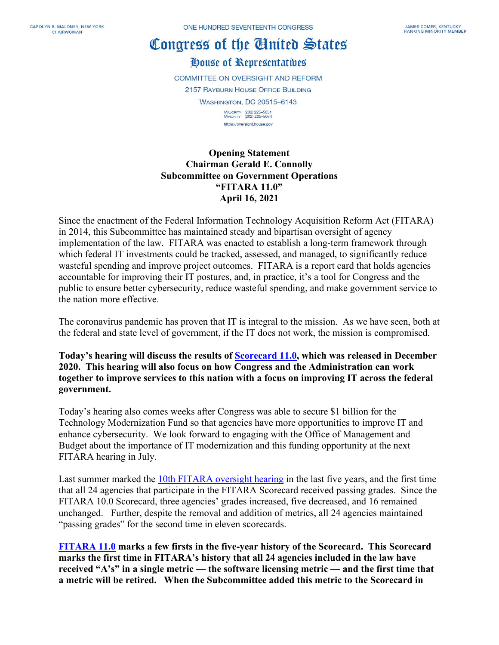## Congress of the Cinited States

House of Representatives

**COMMITTEE ON OVERSIGHT AND REFORM** 2157 RAYBURN HOUSE OFFICE BUILDING **WASHINGTON, DC 20515-6143** MAJORITY (202) 225-5051<br>MINORITY (202) 225-5074 https://oversight.house.gov

**Opening Statement Chairman Gerald E. Connolly Subcommittee on Government Operations "FITARA 11.0" April 16, 2021**

Since the enactment of the Federal Information Technology Acquisition Reform Act (FITARA) in 2014, this Subcommittee has maintained steady and bipartisan oversight of agency implementation of the law. FITARA was enacted to establish a long-term framework through which federal IT investments could be tracked, assessed, and managed, to significantly reduce wasteful spending and improve project outcomes. FITARA is a report card that holds agencies accountable for improving their IT postures, and, in practice, it's a tool for Congress and the public to ensure better cybersecurity, reduce wasteful spending, and make government service to the nation more effective.

The coronavirus pandemic has proven that IT is integral to the mission. As we have seen, both at the federal and state level of government, if the IT does not work, the mission is compromised.

**Today's hearing will discuss the results of [Scorecard 11.0,](https://oversight.house.gov/sites/democrats.oversight.house.gov/files/FITARA%20Scorecard%2011.pdf) which was released in December 2020. This hearing will also focus on how Congress and the Administration can work together to improve services to this nation with a focus on improving IT across the federal government.**

Today's hearing also comes weeks after Congress was able to secure \$1 billion for the Technology Modernization Fund so that agencies have more opportunities to improve IT and enhance cybersecurity. We look forward to engaging with the Office of Management and Budget about the importance of IT modernization and this funding opportunity at the next FITARA hearing in July.

Last summer marked the [10th FITARA oversight hearing](https://oversight.house.gov/legislation/hearings/hybrid-hearing-on-fitara-100) in the last five years, and the first time that all 24 agencies that participate in the FITARA Scorecard received passing grades. Since the FITARA 10.0 Scorecard, three agencies' grades increased, five decreased, and 16 remained unchanged. Further, despite the removal and addition of metrics, all 24 agencies maintained "passing grades" for the second time in eleven scorecards.

**[FITARA 11.0](https://oversight.house.gov/sites/democrats.oversight.house.gov/files/FITARA%20Scorecard%2011.pdf) marks a few firsts in the five-year history of the Scorecard. This Scorecard marks the first time in FITARA's history that all 24 agencies included in the law have received "A's" in a single metric — the software licensing metric — and the first time that a metric will be retired. When the Subcommittee added this metric to the Scorecard in**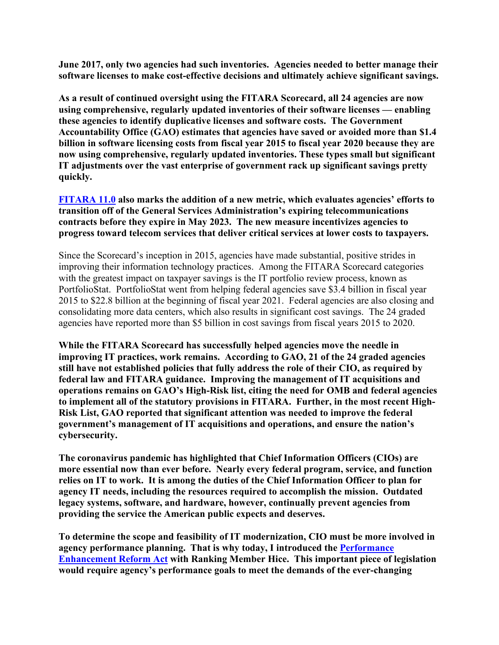**June 2017, only two agencies had such inventories. Agencies needed to better manage their software licenses to make cost-effective decisions and ultimately achieve significant savings.** 

**As a result of continued oversight using the FITARA Scorecard, all 24 agencies are now using comprehensive, regularly updated inventories of their software licenses — enabling these agencies to identify duplicative licenses and software costs. The Government Accountability Office (GAO) estimates that agencies have saved or avoided more than \$1.4 billion in software licensing costs from fiscal year 2015 to fiscal year 2020 because they are now using comprehensive, regularly updated inventories. These types small but significant IT adjustments over the vast enterprise of government rack up significant savings pretty quickly.** 

**[FITARA 11.0](https://oversight.house.gov/sites/democrats.oversight.house.gov/files/FITARA%20Scorecard%2011.pdf) also marks the addition of a new metric, which evaluates agencies' efforts to transition off of the General Services Administration's expiring telecommunications contracts before they expire in May 2023. The new measure incentivizes agencies to progress toward telecom services that deliver critical services at lower costs to taxpayers.**

Since the Scorecard's inception in 2015, agencies have made substantial, positive strides in improving their information technology practices. Among the FITARA Scorecard categories with the greatest impact on taxpayer savings is the IT portfolio review process, known as PortfolioStat. PortfolioStat went from helping federal agencies save \$3.4 billion in fiscal year 2015 to \$22.8 billion at the beginning of fiscal year 2021. Federal agencies are also closing and consolidating more data centers, which also results in significant cost savings. The 24 graded agencies have reported more than \$5 billion in cost savings from fiscal years 2015 to 2020.

**While the FITARA Scorecard has successfully helped agencies move the needle in improving IT practices, work remains. According to GAO, 21 of the 24 graded agencies still have not established policies that fully address the role of their CIO, as required by federal law and FITARA guidance. Improving the management of IT acquisitions and operations remains on GAO's High-Risk list, citing the need for OMB and federal agencies to implement all of the statutory provisions in FITARA. Further, in the most recent High-Risk List, GAO reported that significant attention was needed to improve the federal government's management of IT acquisitions and operations, and ensure the nation's cybersecurity.** 

**The coronavirus pandemic has highlighted that Chief Information Officers (CIOs) are more essential now than ever before. Nearly every federal program, service, and function relies on IT to work. It is among the duties of the Chief Information Officer to plan for agency IT needs, including the resources required to accomplish the mission. Outdated legacy systems, software, and hardware, however, continually prevent agencies from providing the service the American public expects and deserves.** 

**To determine the scope and feasibility of IT modernization, CIO must be more involved in agency performance planning. That is why today, I introduced the [Performance](https://oversight.house.gov/sites/democrats.oversight.house.gov/files/CONNOL_032_xml.pdf)  [Enhancement Reform Act](https://oversight.house.gov/sites/democrats.oversight.house.gov/files/CONNOL_032_xml.pdf) with Ranking Member Hice. This important piece of legislation would require agency's performance goals to meet the demands of the ever-changing**